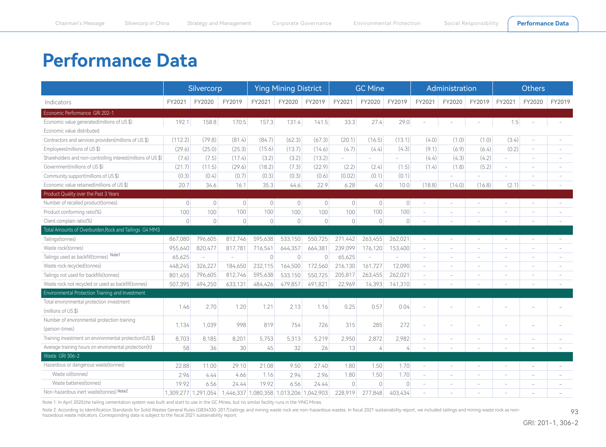## <span id="page-0-0"></span>**Performance Data**

|                                                              | Silvercorp          |                                                                           |                                         | <b>Ying Mining District</b> |                |                |           | <b>GC Mine</b>           |                          |                          | Administration           |                          | <b>Others</b>            |                          |                          |
|--------------------------------------------------------------|---------------------|---------------------------------------------------------------------------|-----------------------------------------|-----------------------------|----------------|----------------|-----------|--------------------------|--------------------------|--------------------------|--------------------------|--------------------------|--------------------------|--------------------------|--------------------------|
| Indicators                                                   | FY2021              | FY2020                                                                    | FY2019                                  | FY2021                      | FY2020         | FY2019         | FY2021    | FY2020                   | FY2019                   | FY2021                   | FY2020                   | FY2019                   | FY2021                   | FY2020                   | FY2019                   |
| Economic Performance GRI 202-1                               |                     |                                                                           |                                         |                             |                |                |           |                          |                          |                          |                          |                          |                          |                          |                          |
| Economic value generated(millions of US \$)                  | 192.1               | 158.8                                                                     | 170.5                                   | 157.3                       | 131.4          | 141.5          | 33.3      | 27.4                     | 29.0                     |                          |                          |                          | 1.5                      |                          | $\sim$                   |
| Fconomic value distributed:                                  |                     |                                                                           |                                         |                             |                |                |           |                          |                          |                          |                          |                          |                          |                          |                          |
| Contractors and services providers(millions of US \$)        | (112.2)             | (79.8)                                                                    | (81.4)                                  | (84.7)                      | (62.3)         | (67.3)         | (20.1)    | (16.5)                   | (13.1)                   | (4.0)                    | (1.0)                    | (1.0)                    | (3.4)                    | $\sim$                   |                          |
| Employees(millions of US \$)                                 | (29.6)              | (25.0)                                                                    | (25.3)                                  | (15.6)                      | (13.7)         | (14.6)         | (4.7)     | (4.4)                    | (4.3)                    | (9.1)                    | (6.9)                    | (6.4)                    | (0.2)                    | $\sim$                   |                          |
| Shareholders and non-controlling interest(millions of US \$) | (7.6)               | (7.5)                                                                     | (17.4)                                  | (3.2)                       | (3.2)          | (13.2)         |           |                          |                          | (4.4)                    | (4.3)                    | (4.2)                    | $\sim$                   |                          |                          |
| Government(millions of US \$)                                | (21.7)              | (11.5)                                                                    | (29.6)                                  | (18.2)                      | (7.3)          | (22.9)         | (2.2)     | (2.4)                    | (1.5)                    | (1.4)                    | (1.8)                    | (5.2)                    | $\overline{\phantom{a}}$ | $\sim$                   |                          |
| Community support(millions of US \$)                         | (0.3)               | (0.4)                                                                     | (0.7)                                   | (0.3)                       | (0.3)          | (0.6)          | (0.02)    | (0.1)                    | (0.1)                    |                          |                          |                          |                          | $\sim$                   |                          |
| Economic value retained(millions of US \$)                   | 20.7                | 34.6                                                                      | 16.1                                    | 35.3                        | 44.6           | 22.9           | 6.28      | 4.0                      | 10.0                     | (18.8)                   | (14.0)                   | (16.8)                   | (2.1)                    |                          |                          |
| Product Quality over the Past 3 Years                        |                     |                                                                           |                                         |                             |                |                |           |                          |                          |                          |                          |                          |                          |                          |                          |
| Number of recalled product(tonnes)                           | $\bigcirc$          | $\Omega$                                                                  | $\overline{0}$                          | $\overline{0}$              | $\overline{0}$ | $\overline{0}$ | $\Omega$  | $\overline{0}$           | $\circ$                  | $\sim$                   | ÷                        | $\overline{\phantom{a}}$ | $\sim$                   | $\overline{\phantom{a}}$ | $\overline{\phantom{a}}$ |
| Product conforming ratio(%)                                  | 100                 | 100                                                                       | 100                                     | 100                         | 100            | 100            | 100       | 100                      | 100                      | $\sim$                   | $\overline{\phantom{a}}$ | $\overline{\phantom{a}}$ | $\sim$                   | $\sim$                   |                          |
| Client complain ratio(%)                                     | $\overline{0}$      | $\overline{0}$                                                            | $\mathbb O$                             | $\circ$                     | $\overline{0}$ | $\overline{0}$ | $\Omega$  | $\overline{0}$           | 0                        |                          |                          |                          |                          |                          |                          |
| Total Amounts of Overburden, Rock and Tailings G4 MM3        |                     |                                                                           |                                         |                             |                |                |           |                          |                          |                          |                          |                          |                          |                          |                          |
| Tailings(tonnes)                                             | 867,080             | 796,605                                                                   | 812,746                                 | 595,638                     | 533,150        | 550,725        | 271,442   | 263,455                  | 262,021                  |                          | ÷.                       | ÷,                       |                          |                          |                          |
| Waste rock(tonnes)                                           | 955,640             | 820,477                                                                   | 817,781                                 | 716,541                     | 644,357        | 664,381        | 239,099   | 176,120                  | 153,400                  | $\sim$                   | $\sim$                   | $\overline{\phantom{a}}$ | $\sim$                   | $\sim$                   |                          |
| Tailings used as backfill(tonnes) Note1                      | 65,625              | $\hspace{1.0cm} \rule{1.5cm}{0.15cm} \hspace{1.0cm} \rule{1.5cm}{0.15cm}$ |                                         | $\Omega$                    | $\overline{0}$ | $\Omega$       | 65,625    | $\overline{\phantom{a}}$ | $\overline{\phantom{a}}$ | $\overline{\phantom{a}}$ | $\sim$                   | $\overline{\phantom{a}}$ | $\sim$                   | $\overline{\phantom{a}}$ |                          |
| Waste rock recycled(tonnes)                                  | 448,245             | 326,227                                                                   | 184.650                                 | 232,115                     | 164,500        | 172,560        | 216,130   | 161,727                  | 12,090                   | $\sim$                   | $\sim$                   | $\sim$                   | $\overline{\phantom{a}}$ | $\sim$                   |                          |
| Tailings not used for backfills(tonnes)                      | 801,455             | 796,605                                                                   | 812,746                                 | 595,638                     | 533,150        | 550,725        | 205,817   | 263,455                  | 262,021                  | $\sim$                   | $\overline{\phantom{a}}$ | $\overline{\phantom{a}}$ | $\sim$                   | $\sim$                   |                          |
| Waste rock not recycled or used as backfill(tonnes)          | 507.395             | 494.250                                                                   | 633.131                                 | 484.426                     | 479.857        | 491.821        | 22,969    | 14,393                   | 141.310                  |                          |                          |                          |                          |                          |                          |
| Environmental Protection Training and Investment             |                     |                                                                           |                                         |                             |                |                |           |                          |                          |                          |                          |                          |                          |                          |                          |
| Total environmental protection investment                    |                     |                                                                           |                                         |                             |                |                |           |                          |                          |                          |                          |                          |                          |                          |                          |
| (millions of US \$)                                          | 1.46                | 2.70                                                                      | 1.20                                    | 1.21                        | 2.13           | 1.16           | 0.25      | 0.57                     | 0.04                     |                          |                          |                          |                          |                          |                          |
| Number of environmental protection training                  | 1,134               |                                                                           | 998                                     | 819                         | 754            | 726            | 315       | 285                      | 272                      |                          |                          |                          |                          |                          |                          |
| (person-times)                                               |                     | 1,039                                                                     |                                         |                             |                |                |           |                          |                          |                          |                          |                          |                          |                          |                          |
| Training investment on environmental protection(US \$)       | 8,703               | 8,185                                                                     | 8,201                                   | 5,753                       | 5,313          | 5,219          | 2,950     | 2,872                    | 2,982                    |                          | $\overline{\phantom{a}}$ | $\overline{a}$           |                          | $\overline{a}$           |                          |
| Average training hours on enviromental protection(h)         | 58                  | 36                                                                        | 30                                      | 45                          | 32             | 26             | 13        | 4                        | 4                        |                          |                          |                          |                          |                          |                          |
| Waste GRI 306-2                                              |                     |                                                                           |                                         |                             |                |                |           |                          |                          |                          |                          |                          |                          |                          |                          |
| Hazardous or dangerous waste(tonnes)                         | 22.88               | 11.00                                                                     | 29.10                                   | 21.08                       | 9.50           | 27.40          | 1.80      | 1.50                     | 1.70                     |                          |                          |                          | $\overline{\phantom{a}}$ | $\overline{\phantom{a}}$ |                          |
| Waste oil(tonnes)                                            | 2.96                | 4.44                                                                      | 4.66                                    | 1.16                        | 2.94           | 2.96           | 1.80      | 1.50                     | 1.70                     | $\overline{\phantom{a}}$ | $\overline{\phantom{a}}$ | $\overline{\phantom{a}}$ | $\overline{\phantom{a}}$ | $\overline{\phantom{a}}$ |                          |
| Waste batteries(tonnes)                                      | 19.92               | 6.56                                                                      | 24.44                                   | 19.92                       | 6.56           | 24.44          | $\bigcap$ | $\mathbf{0}$             | 0                        | $\sim$                   | $\sim$                   | $\overline{\phantom{a}}$ |                          | ÷                        |                          |
| Non-hazardous inert waste(tonnes) Note2                      | 1,309,277 1,291,054 |                                                                           | 1,446,337 1,080,358 1,013,206 1,042,903 |                             |                |                | 228.919   | 277<br>.848              | 403.434                  |                          |                          |                          |                          |                          |                          |

Note 1: In April 2020,the tailing cementation system was built and start to use in the GC Mines, but no similar facility runs in the YING Mines.

Note 2: According to Identification Standards for Solid Wastes General Rules (GB34330-2017),tailings and mining waste rock are non-hazardous wastes. In fiscal 2021 sustainability report, we included tailings and mining was hazardous waste indicators. Corresponding data is subject to the fiscal 2021 sustainability report.

93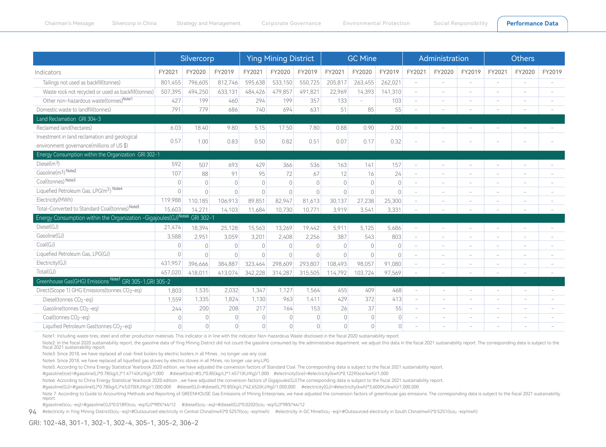|                                                                 | Silvercorp     |                |                | <b>Ying Mining District</b> |                |                    |                | <b>GC Mine</b> |                |                          | Administration           |                          | <b>Others</b>            |                          |        |
|-----------------------------------------------------------------|----------------|----------------|----------------|-----------------------------|----------------|--------------------|----------------|----------------|----------------|--------------------------|--------------------------|--------------------------|--------------------------|--------------------------|--------|
| Indicators                                                      | FY2021         | FY2020         | FY2019         | FY2021                      | FY2020         | FY2019             | FY2021         | FY2020         | FY2019         | FY2021                   | FY2020                   | FY2019                   | FY2021                   | FY2020                   | FY2019 |
| Tailings not used as backfill(tonnes)                           | 801,455        | 796,605        | 812,746        | 595,638                     | 533,150        | 550,725            | 205,817        | 263,455        | 262,021        | $\sim$                   | $\sim$                   | $\sim$                   | $\overline{\phantom{a}}$ | $\overline{\phantom{a}}$ |        |
| Waste rock not recycled or used as backfill(tonnes)             | 507,395        | 494,250        | 633,131        | 484,426                     | 479,857        | 491,821            | 22,969         | 14,393         | 141,310        | $\sim$                   | $\overline{\phantom{a}}$ | $\overline{\phantom{a}}$ | $\overline{\phantom{a}}$ | $\overline{\phantom{a}}$ |        |
| Other non-hazardous waste(tonnes)Note1                          | 427            | 199            | 460            | 294                         | 199            | 357                | 133            |                | 103            | $\overline{\phantom{a}}$ | $\overline{\phantom{a}}$ | $\overline{\phantom{a}}$ |                          |                          |        |
| Domestic waste to landfill(tonnes)                              | 791            | 779            | 686            | 740                         | 694            | 631                | 51             | 85             | 55             |                          |                          |                          |                          |                          |        |
| Land Reclamation GRI 304-3                                      |                |                |                |                             |                |                    |                |                |                |                          |                          |                          |                          |                          |        |
| Reclaimed land(hectares)                                        | 6.03           | 18.40          | 9.80           | 5.15                        | 17.50          | 7.80               | 0.88           | 0.90           | 2.00           | $\overline{\phantom{a}}$ | $\overline{\phantom{a}}$ | $\overline{\phantom{a}}$ | $\overline{\phantom{a}}$ | $\overline{\phantom{a}}$ |        |
| Investment in land reclamation and geological                   | 0.57           | 1.00           | 0.83           | 0.50                        | 0.82           | 0.51               | 0.07           | 0.17           | 0.32           |                          |                          |                          |                          |                          |        |
| environment governance(millions of US \$)                       |                |                |                |                             |                |                    |                |                |                |                          |                          |                          |                          |                          |        |
| Energy Consumption within the Organization GRI 302-1            |                |                |                |                             |                |                    |                |                |                |                          |                          |                          |                          |                          |        |
| $Diesel(m^3)$                                                   | 592            | 507            | 693            | 429                         | 366            | 536                | 163            | 141            | 157            |                          |                          |                          |                          |                          |        |
| Gasoline(m <sup>3</sup> ) Note2                                 | 107            | 88             | 91             | 95                          | 72             | 67                 | 12             | 16             | 24             | $\overline{\phantom{a}}$ | $\overline{\phantom{a}}$ | $\sim$                   |                          |                          |        |
| Coal(tonnes) Note3                                              | $\circ$        | $\Omega$       | $\sqrt{a}$     | $\overline{0}$              | $\mathbf 0$    | $\overline{0}$     | $\overline{0}$ | $\bigcirc$     | $\overline{0}$ | $\sim$                   | $\overline{\phantom{a}}$ | $\overline{\phantom{a}}$ | $\overline{\phantom{a}}$ | $\overline{\phantom{a}}$ |        |
| Liquefied Petroleum Gas, LPG(m <sup>3</sup> ) Note4             | $\Omega$       | $\Omega$       | $\Omega$       | $\Omega$                    | $\Omega$       | $\overline{0}$     | $\cap$         | $\bigcirc$     | $\Omega$       | $\overline{\phantom{a}}$ | $\overline{\phantom{a}}$ | $\overline{\phantom{a}}$ |                          |                          |        |
| Electricity(MWh)                                                | 119,988        | 110.185        | 106.913        | 89.851                      | 82,947         | 81.613             | 30,137         | 27,238         | 25,300         | $\overline{\phantom{a}}$ |                          |                          |                          |                          |        |
| Total-Converted to Standard Coal(tonnes) Note5                  | 15,603         | 14.271         | 14.103         | 11,684                      | 10,730         | 10.77 <sup>′</sup> | 3,919          | 3,541          | 3,331          |                          |                          |                          |                          |                          |        |
| Energy Consumption within the Organization -Gigajoules(GJ)Note6 |                | GRI 302-1      |                |                             |                |                    |                |                |                |                          |                          |                          |                          |                          |        |
| Diesel(GJ)                                                      | 21,474         | 18,394         | 25,128         | 15,563                      | 13,269         | 19,442             | 5,911          | 5,125          | 5,686          | $\sim$                   | $\sim$                   | $\sim$                   |                          |                          |        |
| Gasoline(GJ)                                                    | 3,588          | 2,951          | 3,059          | 3,201                       | 2,408          | 2,256              | 387            | 543            | 803            | $\overline{\phantom{a}}$ | $\overline{\phantom{a}}$ | $\overline{\phantom{a}}$ | $\overline{\phantom{a}}$ |                          |        |
| Coal(GJ)                                                        | $\circ$        | $\Omega$       | $\Omega$       | $\left  \right $            | $\bigcirc$     | $\Omega$           | $\bigcirc$     | $\bigcirc$     | $\Omega$       | $\overline{\phantom{a}}$ | $\overline{\phantom{a}}$ | $\overline{\phantom{a}}$ | $\overline{\phantom{a}}$ |                          |        |
| Liquefied Petroleum Gas, LPG(GJ)                                | $\mathbf{0}$   | $\Omega$       | $\Omega$       | $\overline{0}$              | $\bigcirc$     | $\overline{0}$     | $\bigcap$      | $\bigcirc$     | $\overline{0}$ | ÷,                       | $\sim$                   | $\overline{\phantom{a}}$ |                          |                          |        |
| Electricity(GJ)                                                 | 431,957        | 396,666        | 384,887        | 323,464                     | 298,609        | 293,807            | 108,493        | 98,057         | 91,080         | ÷                        |                          | $\overline{\phantom{a}}$ |                          |                          |        |
| Total(GJ)                                                       | 457.020        | 418.011        | 413,074        | 342.228                     | 314,287        | 315,505            | 114,792        | 103,724        | 97,569         | $\overline{\phantom{a}}$ |                          |                          |                          |                          |        |
| Greenhouse Gas(GHG) Emissions Note7<br>GRI 305-1, GRI 305-2     |                |                |                |                             |                |                    |                |                |                |                          |                          |                          |                          |                          |        |
| Direct(Scope 1) GHG Emissions(tonnes CO <sub>2</sub> -eq)       | 1.803          | 1,535          | 2,032          | 1,347                       | 1,127          | 1,564              | 455            | 409            | 468            | $\sim$                   | $\sim$                   | $\overline{\phantom{a}}$ | $\overline{\phantom{0}}$ |                          |        |
| Diesel(tonnes CO <sub>2-eq)</sub>                               | 1,559          | 1,335          | 1,824          | 1,130                       | 963            | 1,411              | 429            | 372            | 413            | $\sim$                   | $\overline{\phantom{a}}$ | $\sim$                   | $\overline{\phantom{a}}$ |                          |        |
| Gasoline(tonnes CO <sub>2-eq)</sub>                             | 244            | 200            | 208            | 217                         | 164            | 153                | 26             | 37             | 55             | $\sim$                   | $\sim$                   | $\sim$                   | ÷.                       | $\sim$                   |        |
| Coal(tonnes CO <sub>2-eq)</sub>                                 | $\overline{0}$ | $\overline{0}$ | $\overline{0}$ | $\overline{0}$              | $\overline{0}$ | $\overline{0}$     | $\overline{0}$ | $\overline{0}$ | $\overline{0}$ | $\sim$                   | $\overline{\phantom{a}}$ | $\overline{\phantom{a}}$ | ۰                        |                          |        |
| Liquified Petroleum Gas(tonnes CO <sub>2-eq)</sub>              | $\overline{0}$ | $\overline{0}$ | $\overline{0}$ | $\overline{O}$              | $\overline{0}$ | $\overline{0}$     | $\overline{0}$ | $\overline{0}$ | $\overline{0}$ |                          |                          |                          |                          |                          |        |

Note1: Including waste tires, steel and other production materials. This indicator is in line with the indicator Non-hazardous Waste disclosed in the fiscal 2020 sustainability report.

Note2: In the fiscal 2020 sustainability report, the gasoline data of Ying Mining District did not count the gasoline consumed by the administrative department. we adjust this data in the fiscal 2021 sustainability report. fiscal 2021 sustainability report.

Note3: Since 2018, we have replaced all coal-fired boilers by electric boilers in all Mines , no longer use any coal.

Note4: Since 2018, we have replaced all liquefied gas stoves by electric stoves in all Mines, no longer use any.LPG

Note5: According to China Energy Statistical Yearbook 2020 edition, we have adjusted the conversion factors of Standard Coal. The corresponding data is subject to the fiscal 2021 sustainability report.

#gasoline(tce)=#gasoline(L)\*0.78(kg/L)\*1.4714(KJ/Kg)/1,000 #diesel(tce)=#(L)\*0.85(kg/L)\*1.4571(KJ/Kg)/1,000 #electricity(tce)=#electricity(kwh)\*0.1229(kce/kwh)/1,000

Note6: According to China Energy Statistical Yearbook 2020 edition, we have adjusted the conversion factors of Gigajoules(GJ).The corresponding data is subject to the fiscal 2021 sustainability report.

#gasoline(GJ)=#gasoline(L)\*0.78(kg/L)\*43,070(KJ/Kg)/1,000,000 #diesel(GJ)=#diesel(L)\*0.85(kg/L)\*42,652(KJ/Kg)/1,000,000 #electricity(GJ)=#electricity(kwh)\*3,600(KJ/kwh)/1,000,000

Note 7: According to:Guide to Accounting Methods and Reporting of GREENHOUSE Gas Emissions of Mining Enterprises, we have adjusted the conversion factors of greenhouse gas emissions. The corresponding data is subject to th report.

#gasoline(tco<sub>2</sub> -eq)=#gasoline(GJ)\*0.0189(tco<sub>2</sub> -eq/GJ)\*98%\*44/12 #diesel(tco<sub>2</sub> -eq)=#diesel(GJ)\*0.0202(tco<sub>2</sub> -eq/GJ)\*98%\*44/12

 $94$  #electricity in Ying Mining District(tco<sub>2</sub> -eq)=#Outsourced electricity in Central China(mwh)\*0.5257(tco<sub>2</sub> -eq/mwh) #electricity in GC Mine(tco<sub>2</sub> -eq)=#Outsourced electricity in South China(mwh)\*0.5251(tco<sub>2</sub> -eq/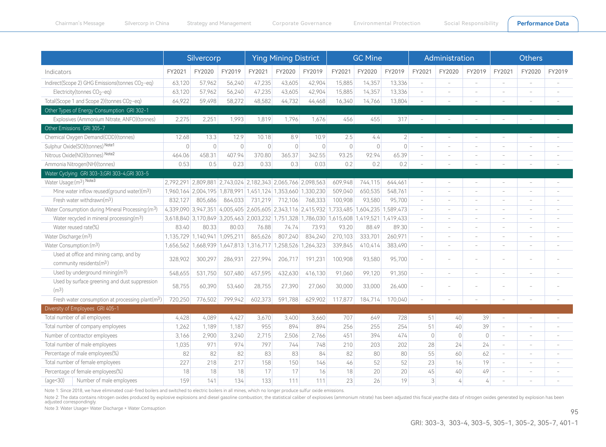|                                                                                | Silvercorp |                                                             |                | <b>Ying Mining District</b> |                |         |                                                                                           | <b>GC Mine</b> |                |                          | Administration           |                          | <b>Others</b>            |                          |                          |
|--------------------------------------------------------------------------------|------------|-------------------------------------------------------------|----------------|-----------------------------|----------------|---------|-------------------------------------------------------------------------------------------|----------------|----------------|--------------------------|--------------------------|--------------------------|--------------------------|--------------------------|--------------------------|
| Indicators                                                                     | FY2021     | FY2020                                                      | FY2019         | FY2021                      | FY2020         | FY2019  | FY2021                                                                                    | FY2020         | FY2019         | FY2021                   | FY2020                   | FY2019                   | FY2021                   | FY2020                   | FY2019                   |
| Indirect(Scope 2) GHG Emissions(tonnes CO <sub>2</sub> -eq)                    | 63,120     | 57,962                                                      | 56,240         | 47,235                      | 43,605         | 42,904  | 15,885                                                                                    | 14,357         | 13,336         | $\overline{\phantom{a}}$ | L.                       | $\overline{\phantom{a}}$ |                          | $\sim$                   |                          |
| Electricity(tonnes CO <sub>2-eq)</sub>                                         | 63,120     | 57,962                                                      | 56,240         | 47,235                      | 43,605         | 42,904  | 15,885                                                                                    | 14,357         | 13,336         | $\sim$                   |                          |                          |                          |                          |                          |
| Total(Scope 1 and Scope 2)(tonnes CO <sub>2-eq)</sub>                          | 64,922     | 59,498                                                      | 58,272         | 48.582                      | 44,732         | 44,468  | 16,340                                                                                    | 14,766         | 13,804         |                          |                          |                          |                          |                          |                          |
| Other Types of Energy Consumption GRI 302-1                                    |            |                                                             |                |                             |                |         |                                                                                           |                |                |                          |                          |                          |                          |                          |                          |
| Explosives (Ammonium Nitrate, ANFO)(tonnes)                                    | 2,275      | 2,251                                                       | 1,993          | 1,819                       | 1,796          | 1,676   | 456                                                                                       | 455            | 317            | $\overline{\phantom{a}}$ | $\overline{\phantom{a}}$ | $\overline{\phantom{a}}$ |                          | $\overline{\phantom{a}}$ | $\overline{\phantom{a}}$ |
| Other Emissions GRI 305-7                                                      |            |                                                             |                |                             |                |         |                                                                                           |                |                |                          |                          |                          |                          |                          |                          |
| Chemical Oxygen Demand(COD)(tonnes)                                            | 12.68      | 13.3                                                        | 12.9           | 10.18                       | 8.9            | 10.9    | 2.5                                                                                       | 4.4            | $\overline{2}$ | $\sim$                   | $\sim$                   | ÷                        |                          | $\sim$                   | ÷.                       |
| Sulphur Oxide(SO)(tonnes) Note1                                                | $\circ$    | $\Omega$                                                    | $\overline{0}$ | $\Omega$                    | $\overline{0}$ | $\circ$ | $\circ$                                                                                   | $\Omega$       | $\overline{0}$ | $\overline{\phantom{a}}$ | $\overline{\phantom{a}}$ | $\overline{\phantom{a}}$ |                          | ÷                        | i.                       |
| Nitrous Oxide(NO)(tonnes) Note2                                                | 464.06     | 458.31                                                      | 407.94         | 370.80                      | 365.37         | 342.55  | 93.25                                                                                     | 92.94          | 65.39          | $\overline{\phantom{a}}$ | $\overline{\phantom{a}}$ | $\overline{\phantom{a}}$ | $\sim$                   | $\overline{\phantom{a}}$ | $\overline{\phantom{a}}$ |
| Ammonia Nitrogen(NH)(tonnes)                                                   | 0.53       | 0.5                                                         | 0.23           | 0.33                        | 0.3            | 0.03    | 0.2                                                                                       | 0.2            | 0.2            | $\overline{\phantom{a}}$ | $\overline{a}$           | $\qquad \qquad -$        |                          | $\overline{\phantom{a}}$ | $\overline{\phantom{a}}$ |
| Water Cyclying GRI 303-3, GRI 303-4, GRI 303-5                                 |            |                                                             |                |                             |                |         |                                                                                           |                |                |                          |                          |                          |                          |                          |                          |
| Water Usage: (m <sup>3</sup> ) Note3                                           |            | 2,792,291 2,809,881 2,743,024 2,182,343 2,065,766 2,098,563 |                |                             |                |         | 609,948                                                                                   | 744,115        | 644,461        | $\sim$                   | ÷.                       | ÷                        |                          |                          |                          |
| Mine water inflow reused(ground water)(m <sup>3</sup> )                        |            | 1,960,164 2,004,195 1,878,991 1,451,124 1,353,660 1,330,230 |                |                             |                |         | 509,040                                                                                   | 650,535        | 548,761        | $\overline{\phantom{a}}$ | ÷                        | $\overline{\phantom{a}}$ |                          | ÷                        | i.                       |
| Fresh water withdrawn $(m3)$                                                   | 832.127    | 805,686                                                     | 864,033        | 731,219                     | 712,106        | 768,333 | 100,908                                                                                   | 93,580         | 95,700         | $\overline{\phantom{a}}$ | $\overline{\phantom{a}}$ | $\overline{\phantom{a}}$ |                          |                          |                          |
| Water Consumption during Mineral Processing: (m <sup>3</sup> )                 |            |                                                             |                |                             |                |         | 4,339,090 3,947,351 4,005,405 2,605,605 2,343,116 2,415,932 1,733,485 1,604,235 1,589,473 |                |                | $\overline{\phantom{a}}$ | $\overline{\phantom{a}}$ | $\overline{\phantom{a}}$ |                          | $\sim$                   | $\overline{\phantom{a}}$ |
| Water recycled in mineral processing(m3)                                       |            |                                                             |                |                             |                |         | 3,618,840 3,170,849 3,205,463 2,003,232 1,751,328 1,786,030 1,615,608 1,419,521 1,419,433 |                |                | $\overline{\phantom{a}}$ | $\sim$                   | $\sim$                   | $\sim$                   | $\sim$                   | ÷                        |
| Water reused rate(%)                                                           | 83.40      | 80.33                                                       | 80.03          | 76.88                       | 74.74          | 73.93   | 93.20                                                                                     | 88.49          | 89.30          | $\bar{a}$                | ÷.                       | ÷                        |                          | $\sim$                   |                          |
| Water Discharge:(m <sup>3</sup> )                                              |            | 1,135,729 1,140,941 1,095,211                               |                | 865,626                     | 807,240        | 834,240 | 270,103                                                                                   | 333,701        | 260,971        | $\sim$                   | ÷.                       | ÷                        |                          | ÷.                       |                          |
| Water Consumption:(m3)                                                         |            | 1,656,562 1,668,939 1,647,813 1,316,717 1,258,526 1,264,323 |                |                             |                |         | 339,845                                                                                   | 410,414        | 383,490        | $\overline{\phantom{a}}$ | $\overline{\phantom{a}}$ | $\overline{\phantom{a}}$ | $\sim$                   | $\sim$                   |                          |
| Used at office and mining camp, and by<br>community residents(m <sup>3</sup> ) | 328,902    | 300,297                                                     | 286,931        | 227,994                     | 206,717        | 191,231 | 100,908                                                                                   | 93,580         | 95,700         | $\overline{\phantom{a}}$ |                          |                          |                          |                          |                          |
| Used by underground mining(m <sup>3</sup> )                                    | 548,655    | 531,750                                                     | 507,480        | 457,595                     | 432,630        | 416,130 | 91,060                                                                                    | 99,120         | 91,350         | $\overline{\phantom{a}}$ | ÷.                       | ÷.                       |                          | ÷.                       | i.                       |
| Used by surface greening and dust suppression<br>(m <sup>3</sup> )             | 58,755     | 60,390                                                      | 53,460         | 28,755                      | 27,390         | 27,060  | 30,000                                                                                    | 33,000         | 26,400         | $\overline{\phantom{a}}$ |                          |                          |                          |                          |                          |
| Fresh water consumption at processing plant(m <sup>3</sup> )                   | 720,250    | 776,502                                                     | 799,942        | 602,373                     | 591,788        | 629,902 | 117,877                                                                                   | 184,714        | 170,040        |                          |                          |                          |                          |                          |                          |
| Diversity of Employees GRI 405-1                                               |            |                                                             |                |                             |                |         |                                                                                           |                |                |                          |                          |                          |                          |                          |                          |
| Total number of all employees                                                  | 4,428      | 4,089                                                       | 4,427          | 3,670                       | 3,400          | 3,660   | 707                                                                                       | 649            | 728            | 51                       | 40                       | 39                       |                          | $\overline{\phantom{a}}$ | ÷                        |
| Total number of company employees                                              | 1,262      | 1,189                                                       | 1,187          | 955                         | 894            | 894     | 256                                                                                       | 255            | 254            | 51                       | 40                       | 39                       | $\overline{\phantom{a}}$ | $\sim$                   |                          |
| Number of contractor employees                                                 | 3,166      | 2,900                                                       | 3,240          | 2,715                       | 2,506          | 2,766   | 451                                                                                       | 394            | 474            | $\overline{0}$           | $\overline{0}$           | $\mathbf 0$              | $\overline{\phantom{a}}$ | $\sim$                   |                          |
| Total number of male employees                                                 | 1,035      | 971                                                         | 974            | 797                         | 744            | 748     | 210                                                                                       | 203            | 202            | 28                       | 24                       | 24                       | $\sim$                   | $\sim$                   | ÷                        |
| Percentage of male employees(%)                                                | 82         | 82                                                          | 82             | 83                          | 83             | 84      | 82                                                                                        | 80             | 80             | 55                       | 60                       | 62                       | $\overline{\phantom{a}}$ | $\sim$                   | ÷.                       |
| Total number of female employees                                               | 227        | 218                                                         | 217            | 158                         | 150            | 146     | 46                                                                                        | 52             | 52             | 23                       | 16                       | 19                       | $\overline{\phantom{a}}$ | $\sim$                   | $\overline{\phantom{a}}$ |
| Percentage of female employees(%)                                              | 18         | 18                                                          | 18             | 17                          | 17             | 16      | 18                                                                                        | 20             | 20             | 45                       | 40                       | 49                       |                          | $\sim$                   | $\overline{\phantom{a}}$ |
| (aqe<30)<br>Number of male employees                                           | 159        | 141                                                         | 134            | 133                         | 111            | 111     | 23                                                                                        | 26             | 19             | $\lvert 3 \rvert$        | 4                        | 4                        |                          |                          |                          |

Note 1: Since 2018, we have eliminated coal-fired boilers and switched to electric boilers in all mines, which no longer produce sulfur oxide emissions.

Note 2: The data contains nitrogen oxides produced by explosive explosions and diesel gasoline combustion; the statistical caliber of explosives (ammonium nitrate) has been adjusted this fiscal year,the data of nitrogen ox

Note 3: Water Usage= Water Discharge + Water Comsuption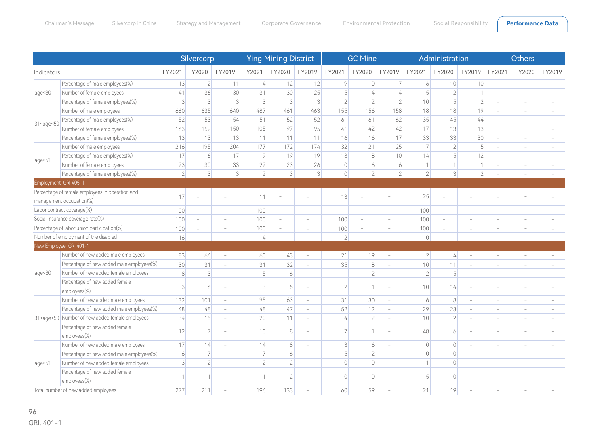|                                                                                                                                                                                                                                     |                                                                                                                                                                                                                                                                                                                                                             | Silvercorp     |                          |                          | <b>Ying Mining District</b> |                          |                          |                          | <b>GC Mine</b>           |                          |                | Administration           |                          | <b>Others</b>            |                          |        |
|-------------------------------------------------------------------------------------------------------------------------------------------------------------------------------------------------------------------------------------|-------------------------------------------------------------------------------------------------------------------------------------------------------------------------------------------------------------------------------------------------------------------------------------------------------------------------------------------------------------|----------------|--------------------------|--------------------------|-----------------------------|--------------------------|--------------------------|--------------------------|--------------------------|--------------------------|----------------|--------------------------|--------------------------|--------------------------|--------------------------|--------|
| Indicators                                                                                                                                                                                                                          |                                                                                                                                                                                                                                                                                                                                                             | FY2021         | FY2020                   | FY2019                   | FY2021                      | FY2020                   | FY2019                   | FY2021                   | FY2020                   | FY2019                   | FY2021         | FY2020                   | FY2019                   | FY2021                   | FY2020                   | FY2019 |
|                                                                                                                                                                                                                                     | Percentage of male employees(%)                                                                                                                                                                                                                                                                                                                             | 13             | 12                       | 11                       | 14                          | 12                       | 12                       | 9                        | 10                       | $\overline{7}$           | 6              | 10                       | 10                       | $\sim$                   | $\overline{\phantom{a}}$ |        |
| age $<$ 30                                                                                                                                                                                                                          | Number of female employees                                                                                                                                                                                                                                                                                                                                  | 41             | 36                       | 30                       | 31                          | 30                       | 25                       | 5                        | $\overline{4}$           | 4                        | 5              | $\overline{2}$           | 1                        |                          |                          |        |
|                                                                                                                                                                                                                                     | Percentage of female employees(%)                                                                                                                                                                                                                                                                                                                           | $\overline{3}$ | $\lceil 3 \rceil$        | $\lceil 3 \rceil$        | 3                           | $\lvert 3 \rvert$        | $\lvert 3 \rvert$        | $\overline{2}$           | $\overline{2}$           | $\overline{2}$           | 10             | 5 <sup>1</sup>           | $\overline{2}$           |                          | $\sim$                   |        |
|                                                                                                                                                                                                                                     | Number of male employees                                                                                                                                                                                                                                                                                                                                    | 660            | 635                      | 640                      | 487                         | 461                      | 463                      | 155                      | 156                      | 158                      | 18             | 18                       | 19                       | $\sim$                   | $\sim$                   |        |
| 31 <age<50< td=""><td>Percentage of male employees(%)</td><td>52</td><td>53</td><td>54</td><td>51</td><td>52</td><td>52</td><td>61</td><td>61</td><td>62</td><td>35</td><td>45</td><td>44</td><td></td><td></td><td></td></age<50<> | Percentage of male employees(%)                                                                                                                                                                                                                                                                                                                             | 52             | 53                       | 54                       | 51                          | 52                       | 52                       | 61                       | 61                       | 62                       | 35             | 45                       | 44                       |                          |                          |        |
|                                                                                                                                                                                                                                     | Number of female employees                                                                                                                                                                                                                                                                                                                                  | 163            | 152                      | 150                      | 105                         | 97                       | 95                       | 41                       | 42                       | 42                       | 17             | 13                       | 13                       | $\sim$                   | $\sim$                   | $\sim$ |
|                                                                                                                                                                                                                                     | Percentage of female employees(%)                                                                                                                                                                                                                                                                                                                           | 13             | 13                       | 13                       | 11                          | 11                       | 11                       | 16                       | 16                       | 17                       | 33             | 33                       | 30                       | $\sim$                   | $\sim$                   |        |
|                                                                                                                                                                                                                                     | Number of male employees                                                                                                                                                                                                                                                                                                                                    | 216            | 195                      | 204                      | 177                         | 172                      | 174                      | 32                       | 21                       | 25                       | 7              | $\overline{2}$           | 5                        | $\sim$                   | $\sim$                   |        |
|                                                                                                                                                                                                                                     | Percentage of male employees(%)                                                                                                                                                                                                                                                                                                                             | 17             | 16                       | 17                       | 19                          | 19                       | 19                       | 13                       | 8                        | 10                       | 14             | 5 <sup>1</sup>           | 12                       |                          | $\sim$                   |        |
| age>51                                                                                                                                                                                                                              | Number of female employees                                                                                                                                                                                                                                                                                                                                  | 23             | 30                       | 33                       | 22                          | 23                       | 26                       | $\Omega$                 | 6                        | 6                        | 1              |                          | $\mathbf{1}$             |                          | $\sim$                   |        |
|                                                                                                                                                                                                                                     | Percentage of female employees(%)                                                                                                                                                                                                                                                                                                                           | $\overline{2}$ | $\lvert 3 \rvert$        | $\overline{3}$           | $\overline{2}$              | $\lvert 3 \rvert$        | $\lvert 3 \rvert$        | $\Omega$                 | $\overline{2}$           | $\overline{2}$           | $\overline{2}$ | $\overline{\mathbf{3}}$  | $\overline{2}$           |                          |                          |        |
| Employment GRI 405-1                                                                                                                                                                                                                |                                                                                                                                                                                                                                                                                                                                                             |                |                          |                          |                             |                          |                          |                          |                          |                          |                |                          |                          |                          |                          |        |
|                                                                                                                                                                                                                                     | Percentage of female employees in operation and<br>management occupation(%)                                                                                                                                                                                                                                                                                 | 17             |                          |                          | 11                          |                          |                          | 13                       |                          |                          | 25             |                          |                          |                          |                          |        |
| Labor contract coverage(%)                                                                                                                                                                                                          |                                                                                                                                                                                                                                                                                                                                                             | 100            | $\overline{\phantom{a}}$ | $\overline{\phantom{a}}$ | 100                         | $\overline{\phantom{a}}$ | $\overline{\phantom{a}}$ | $\overline{1}$           | $\overline{\phantom{a}}$ | $\overline{\phantom{a}}$ | 100            | $\sim$                   | $\overline{\phantom{a}}$ |                          | ÷                        |        |
| Social Insurance coverage rate(%)                                                                                                                                                                                                   |                                                                                                                                                                                                                                                                                                                                                             | 100            | $\equiv$                 | $\sim$                   | 100                         | $\sim$                   | $\sim$                   | 100                      | $\bar{a}$                | $\sim$                   | 100            | $\sim$                   | $\overline{\phantom{a}}$ | $\overline{\phantom{a}}$ | $\sim$                   |        |
|                                                                                                                                                                                                                                     | Percentage of labor union participation(%)                                                                                                                                                                                                                                                                                                                  | 100            | $\overline{\phantom{a}}$ | $\overline{\phantom{a}}$ | 100                         | $\overline{\phantom{a}}$ | $\overline{\phantom{a}}$ | 100                      | $\sim$                   | $\overline{\phantom{a}}$ | 100            | $\overline{\phantom{a}}$ | $\overline{\phantom{a}}$ | $\sim$                   | $\sim$                   |        |
|                                                                                                                                                                                                                                     | Number of employment of the disabled                                                                                                                                                                                                                                                                                                                        | 16             |                          |                          | 14                          |                          |                          | $\overline{\phantom{a}}$ |                          |                          | $\mathbb O$    |                          |                          |                          |                          |        |
|                                                                                                                                                                                                                                     | New Employee GRI 401-1                                                                                                                                                                                                                                                                                                                                      |                |                          |                          |                             |                          |                          |                          |                          |                          |                |                          |                          |                          |                          |        |
|                                                                                                                                                                                                                                     | Number of new added male employees                                                                                                                                                                                                                                                                                                                          | 83             | 66                       | ÷                        | 60                          | 43                       | ÷                        | 21                       | 19                       |                          | $\vert$ 2      | $\frac{1}{4}$            | $\overline{\phantom{a}}$ | $\sim$                   | $\sim$                   |        |
|                                                                                                                                                                                                                                     | Percentage of new added male employees(%)                                                                                                                                                                                                                                                                                                                   | 30             | 31                       | L                        | 31                          | 32                       | L,                       | 35                       | $\,8\,$                  |                          | 10             | 11                       | $\overline{a}$           |                          |                          |        |
| age < 30                                                                                                                                                                                                                            | Number of new added female employees                                                                                                                                                                                                                                                                                                                        | 8              | 13                       | ÷                        | 5                           | 6                        |                          | $\overline{1}$           | $\overline{2}$           | $\sim$                   | $\overline{2}$ | 5 <sup>1</sup>           | $\overline{\phantom{a}}$ |                          |                          |        |
|                                                                                                                                                                                                                                     | Percentage of new added female<br>employees(%)                                                                                                                                                                                                                                                                                                              | $\overline{3}$ | 6                        | L,                       | 3                           | 5                        |                          | $\overline{\mathcal{L}}$ |                          |                          | 10             | 14                       |                          |                          |                          |        |
|                                                                                                                                                                                                                                     | Number of new added male employees                                                                                                                                                                                                                                                                                                                          | 132            | 101                      | $\sim$                   | 95                          | 63                       | $\overline{\phantom{a}}$ | 31                       | 30                       | $\sim$                   | 6              | 8 <sup>1</sup>           | $\overline{\phantom{a}}$ | $\sim$                   | $\sim$                   |        |
|                                                                                                                                                                                                                                     | Percentage of new added male employees(%)                                                                                                                                                                                                                                                                                                                   | 48             | 48                       | ÷,                       | 48                          | 47                       | ÷.                       | 52                       | 12                       | $\sim$                   | 29             | 23                       | ÷                        |                          | $\sim$                   |        |
|                                                                                                                                                                                                                                     | 31 <age<50 added="" employees<="" female="" new="" number="" of="" td=""><td>34</td><td>15</td><td></td><td>20</td><td>11</td><td></td><td>4</td><td><math>\overline{2}</math></td><td></td><td>10</td><td><math>\overline{2}</math></td><td><math>\overline{\phantom{a}}</math></td><td></td><td><math display="inline">\sim</math></td><td></td></age<50> | 34             | 15                       |                          | 20                          | 11                       |                          | 4                        | $\overline{2}$           |                          | 10             | $\overline{2}$           | $\overline{\phantom{a}}$ |                          | $\sim$                   |        |
|                                                                                                                                                                                                                                     | Percentage of new added female<br>employees(%)                                                                                                                                                                                                                                                                                                              | 12             | $\overline{7}$           |                          | 10                          | 8                        |                          |                          |                          |                          | 48             | 6                        |                          |                          |                          |        |
|                                                                                                                                                                                                                                     | Number of new added male employees                                                                                                                                                                                                                                                                                                                          | 17             | 14                       | $\overline{\phantom{a}}$ | 14                          | 8                        | $\overline{\phantom{a}}$ | 3                        | 6                        | $\overline{\phantom{a}}$ | $\overline{0}$ | $\overline{0}$           | $\overline{\phantom{a}}$ | $\sim$                   | $\sim$                   |        |
|                                                                                                                                                                                                                                     | Percentage of new added male employees(%)                                                                                                                                                                                                                                                                                                                   | 6              | $\overline{7}$           | $\overline{\phantom{a}}$ | $\overline{7}$              | 6                        | $\overline{\phantom{a}}$ | 5                        | $\overline{2}$           | $\overline{\phantom{a}}$ | $\overline{0}$ | $\Omega$                 | $\overline{\phantom{a}}$ | $\overline{\phantom{a}}$ | $\overline{\phantom{a}}$ |        |
| age>51                                                                                                                                                                                                                              | Number of new added female employees                                                                                                                                                                                                                                                                                                                        | $\overline{3}$ | $\overline{2}$           |                          | $\overline{2}$              | $\overline{2}$           |                          | $\Omega$                 | $\Omega$                 |                          | $\mathcal{I}$  | $\Omega$                 |                          |                          |                          |        |
|                                                                                                                                                                                                                                     | Percentage of new added female                                                                                                                                                                                                                                                                                                                              |                |                          |                          |                             |                          |                          |                          |                          |                          |                |                          |                          |                          |                          |        |

- -

2 133  $\circ$ 

 $\circ$ 59

- -

60

 $\circ$ 19

5 21

- -

- -

- -

- -

employees(%) Total number of new added employees

1 277

1 211

- -

1 196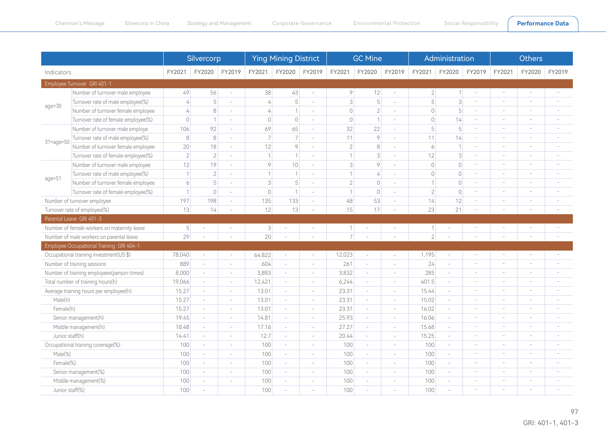|                                                                                                                                                                                                                                                                                                                                                                              |                                             | Silvercorp     |                          |                          | <b>Ying Mining District</b> |                          |                          | <b>GC Mine</b>    |                          |                          |                | Administration           |                          | <b>Others</b>            |                          |                          |  |
|------------------------------------------------------------------------------------------------------------------------------------------------------------------------------------------------------------------------------------------------------------------------------------------------------------------------------------------------------------------------------|---------------------------------------------|----------------|--------------------------|--------------------------|-----------------------------|--------------------------|--------------------------|-------------------|--------------------------|--------------------------|----------------|--------------------------|--------------------------|--------------------------|--------------------------|--------------------------|--|
| Indicators                                                                                                                                                                                                                                                                                                                                                                   |                                             | FY2021         | FY2020                   | FY2019                   | FY2021                      | FY2020                   | FY2019                   | FY2021            | FY2020                   | FY2019                   | FY2021         | FY2020                   | FY2019                   | FY2021                   | FY2020                   | FY2019                   |  |
|                                                                                                                                                                                                                                                                                                                                                                              | Employee Turnover GRI 401-1                 |                |                          |                          |                             |                          |                          |                   |                          |                          |                |                          |                          |                          |                          |                          |  |
|                                                                                                                                                                                                                                                                                                                                                                              | Number of turnover male employee            | 49             | 56                       | $\sim$                   | 38                          | 43                       | $\overline{\phantom{a}}$ | 9                 | 12                       | $\bar{ }$                | $2 \mid$       | $\mathbf{1}$             | $\bar{a}$                | $\overline{\phantom{a}}$ | $\sim$                   | $\overline{\phantom{a}}$ |  |
|                                                                                                                                                                                                                                                                                                                                                                              | Turnover rate of male employee(%)           | $\overline{4}$ | 5                        | $\sim$                   | 4                           | 5                        | $\sim$                   | $\lvert 3 \rvert$ | 5                        | $\overline{\phantom{a}}$ | 5              | $\lceil 3 \rceil$        | $\sim$                   | ÷                        |                          |                          |  |
| age<30                                                                                                                                                                                                                                                                                                                                                                       | Number of turnover female employee          | $\overline{4}$ | 8                        | $\sim$                   | $\frac{1}{4}$               | $\overline{1}$           | $\overline{\phantom{a}}$ | $\circ$           | $\overline{2}$           | $\overline{\phantom{a}}$ | $\bigcirc$     | 5                        | $\sim$                   | $\overline{\phantom{a}}$ |                          | ÷,                       |  |
|                                                                                                                                                                                                                                                                                                                                                                              | Turnover rate of female employee(%)         | $\overline{0}$ | 1                        |                          | $\overline{0}$              | $\mathbf 0$              | $\sim$                   | $\bigcirc$        | $\mathbf 1$              | $\overline{\phantom{a}}$ | $\bigcirc$     | 14                       | $\sim$                   | $\overline{\phantom{a}}$ | $\overline{\phantom{a}}$ | ۰                        |  |
|                                                                                                                                                                                                                                                                                                                                                                              | Number of turnover male employe             | 106            | 92                       | $\overline{\phantom{a}}$ | 69                          | 65                       | $\sim$                   | 32                | 22                       | $\overline{\phantom{a}}$ | 5              | 5                        | $\overline{\phantom{a}}$ | ÷                        | ÷                        | ÷                        |  |
| 31 <age<50< td=""><td>Turnover rate of male employee(%)</td><td>8</td><td>8</td><td><math display="inline">\sim</math></td><td><math>\overline{7}</math></td><td>7</td><td><math display="inline">\sim</math></td><td>11</td><td><math>\circ</math></td><td>÷,</td><td>11</td><td>14</td><td><math display="inline">\sim</math></td><td>÷</td><td></td><td>÷,</td></age<50<> | Turnover rate of male employee(%)           | 8              | 8                        | $\sim$                   | $\overline{7}$              | 7                        | $\sim$                   | 11                | $\circ$                  | ÷,                       | 11             | 14                       | $\sim$                   | ÷                        |                          | ÷,                       |  |
|                                                                                                                                                                                                                                                                                                                                                                              | Number of turnover female employee          | 20             | 18                       | $\sim$                   | 12                          | 9                        | $\sim$                   | $\overline{2}$    | 8                        | ÷,                       | 6              | $\mathbf{1}$             | $\sim$                   | ÷                        |                          | í.                       |  |
|                                                                                                                                                                                                                                                                                                                                                                              | Turnover rate of female employee(%)         | $\overline{2}$ | $\overline{2}$           | $\sim$                   | $\mathbf{1}$                | 1                        | $\sim$                   | $\mathcal{I}$     | 3                        | $\overline{\phantom{a}}$ | 12             | $\lceil 3 \rceil$        | $\overline{\phantom{a}}$ | $\overline{\phantom{m}}$ | $\overline{\phantom{a}}$ | ۰                        |  |
|                                                                                                                                                                                                                                                                                                                                                                              | Number of turnover male employee            | 12             | 19                       | $\sim$                   | $\circ$                     | 10                       | $\sim$                   | 3                 | $\circ$                  | $\overline{\phantom{a}}$ | $\Omega$       | $\circ$                  | $\overline{\phantom{a}}$ | $\overline{\phantom{a}}$ | $\sim$                   | ÷                        |  |
| age>51                                                                                                                                                                                                                                                                                                                                                                       | Turnover rate of male employee(%)           | $\overline{1}$ | $\overline{2}$           |                          | 1                           | $\mathbf{1}$             | $\sim$                   | 1                 | 4                        | $\overline{\phantom{a}}$ | $\Omega$       | $\overline{0}$           | $\overline{\phantom{a}}$ | $\overline{\phantom{a}}$ | $\sim$                   | $\sim$                   |  |
|                                                                                                                                                                                                                                                                                                                                                                              | Number of turnover female employee          | 6              | 5                        | $\sim$                   | $\overline{\mathbf{3}}$     | 5                        | $\sim$                   | $\overline{2}$    | $\circ$                  | $\overline{\phantom{a}}$ |                | $\overline{0}$           | $\sim$                   | $\sim$                   | $\sim$                   | $\sim$                   |  |
|                                                                                                                                                                                                                                                                                                                                                                              | Turnover rate of female employee(%)         | $\overline{1}$ | $\overline{0}$           | $\overline{\phantom{a}}$ | $\circ$                     | $\mathbf{1}$             | $\overline{\phantom{a}}$ | $\mathbf{1}$      | $\overline{0}$           | $\overline{\phantom{0}}$ | $\overline{2}$ | $\mathbb O$              | $\sim$                   | $\overline{\phantom{a}}$ | $\overline{\phantom{a}}$ | $\overline{\phantom{a}}$ |  |
|                                                                                                                                                                                                                                                                                                                                                                              | Number of turnover employee                 | 197            | 198                      | $\overline{\phantom{a}}$ | 135                         | 133                      | $\overline{\phantom{a}}$ | 48                | 53                       | $\overline{\phantom{a}}$ | 14             | 12                       | ÷                        | $\overline{\phantom{a}}$ | $\overline{\phantom{a}}$ | ÷                        |  |
|                                                                                                                                                                                                                                                                                                                                                                              | Turnover rate of employee(%)                | 13             | 14                       |                          | 12                          | 13                       | $\overline{\phantom{a}}$ | 15                | 17                       | i,                       | 23             | 21                       |                          |                          |                          |                          |  |
|                                                                                                                                                                                                                                                                                                                                                                              | Parental Leave GRI 401-3                    |                |                          |                          |                             |                          |                          |                   |                          |                          |                |                          |                          |                          |                          |                          |  |
|                                                                                                                                                                                                                                                                                                                                                                              | Number of female workers on maternity leave | 5 <sup>1</sup> | $\sim$                   | $\overline{\phantom{a}}$ | 3 <sup>1</sup>              | $\sim$                   | $\overline{\phantom{a}}$ | $\overline{1}$    | $\sim$                   | $\sim$                   |                | ٠                        |                          |                          |                          | $\overline{\phantom{0}}$ |  |
|                                                                                                                                                                                                                                                                                                                                                                              | Number of male workers on parental leave    | 29             |                          |                          | 20                          |                          |                          | 7                 |                          |                          | $\overline{2}$ |                          |                          |                          |                          |                          |  |
|                                                                                                                                                                                                                                                                                                                                                                              | Employee Occupational Training GRI 404-1    |                |                          |                          |                             |                          |                          |                   |                          |                          |                |                          |                          |                          |                          |                          |  |
|                                                                                                                                                                                                                                                                                                                                                                              | Occupational training investment(US \$)     | 78,040         | $\overline{\phantom{a}}$ | $\sim$                   | 64,822                      | $\overline{\phantom{a}}$ | $\sim$                   | 12,023            | $\sim$                   | $\sim$                   | 1,195          | $\sim$                   | L.                       | ÷                        | $\sim$                   | ۰                        |  |
|                                                                                                                                                                                                                                                                                                                                                                              | Number of training sessions                 | 889            | $\overline{\phantom{a}}$ | $\overline{\phantom{a}}$ | 604                         | $\overline{\phantom{a}}$ | $\overline{\phantom{a}}$ | 261               | $\overline{\phantom{a}}$ | $\overline{\phantom{0}}$ | 24             | $\overline{\phantom{a}}$ | ÷.                       | $\overline{\phantom{a}}$ | $\overline{\phantom{a}}$ | ۰                        |  |
|                                                                                                                                                                                                                                                                                                                                                                              | Number of training employees(person-times)  | 8,000          | $\overline{\phantom{a}}$ | $\overline{\phantom{a}}$ | 3,883                       | $\overline{\phantom{a}}$ | $\sim$                   | 3,832             | $\sim$                   | $\overline{\phantom{a}}$ | 285            | $\sim$                   | $\sim$                   | $\sim$                   | $\sim$                   | ۰                        |  |
|                                                                                                                                                                                                                                                                                                                                                                              | Total number of training hours(h)           | 19,066         | $\overline{\phantom{a}}$ | $\sim$                   | 12,421                      | $\overline{\phantom{a}}$ | $\overline{\phantom{a}}$ | 6,244             | $\sim$                   | $\sim$                   | 401.5          | $\equiv$                 | $\overline{\phantom{a}}$ | $\overline{\phantom{a}}$ | $\sim$                   | ÷                        |  |
|                                                                                                                                                                                                                                                                                                                                                                              | Average training hours per employee(h):     | 15.27          | $\sim$                   | $\sim$                   | 13.01                       | $\overline{\phantom{a}}$ | $\sim$                   | 23.31             | $\sim$                   | ÷                        | 15.44          | $\sim$                   | $\sim$                   | $\overline{\phantom{a}}$ | $\sim$                   | ÷,                       |  |
| Male(h)                                                                                                                                                                                                                                                                                                                                                                      |                                             | 15.27          | $\sim$                   | $\overline{\phantom{a}}$ | 13.01                       | $\overline{\phantom{a}}$ | $\sim$                   | 23.31             | $\sim$                   | $\overline{\phantom{a}}$ | 15.02          | $\sim$                   | $\overline{\phantom{a}}$ | $\overline{\phantom{a}}$ | $\sim$                   | i,                       |  |
| Female(h)                                                                                                                                                                                                                                                                                                                                                                    |                                             | 15.27          | $\sim$                   | $\sim$                   | 13.01                       | $\overline{\phantom{a}}$ | $\sim$                   | 23.31             | $\sim$                   | $\overline{\phantom{a}}$ | 16.02          | $\sim$                   | $\overline{\phantom{a}}$ | $\overline{\phantom{a}}$ | $\overline{\phantom{a}}$ | ۰                        |  |
|                                                                                                                                                                                                                                                                                                                                                                              | Senior management(h)                        | 19.45          | $\overline{\phantom{a}}$ | $\sim$                   | 14.81                       | $\overline{\phantom{a}}$ | $\sim$                   | 25.93             | $\overline{\phantom{a}}$ | $\overline{\phantom{a}}$ | 16.06          | $\sim$                   | $\overline{\phantom{a}}$ | $\overline{\phantom{a}}$ | $\sim$                   | $\sim$                   |  |
|                                                                                                                                                                                                                                                                                                                                                                              | Middle management(h)                        | 18.48          | $\overline{\phantom{a}}$ | $\overline{\phantom{a}}$ | 17.16                       | $\overline{\phantom{a}}$ | $\overline{\phantom{a}}$ | 27.27             | $\overline{\phantom{a}}$ | $\overline{\phantom{a}}$ | 15.68          | $\overline{\phantom{a}}$ | $\overline{\phantom{a}}$ | $\overline{\phantom{a}}$ | $\sim$                   | $\sim$                   |  |
| Junior staff(h)                                                                                                                                                                                                                                                                                                                                                              |                                             | 14.41          | $\overline{\phantom{a}}$ | $\overline{\phantom{a}}$ | 12.7                        | $\overline{\phantom{a}}$ | $\overline{\phantom{a}}$ | 20.44             | $\overline{\phantom{a}}$ | $\overline{\phantom{a}}$ | 15.25          | $\overline{\phantom{a}}$ | $\sim$                   | $\sim$                   | $\sim$                   | $\sim$                   |  |
|                                                                                                                                                                                                                                                                                                                                                                              | Occupational training coverage(%):          | 100            | $\overline{\phantom{a}}$ | $\overline{\phantom{a}}$ | 100                         | $\overline{\phantom{a}}$ | $\overline{\phantom{a}}$ | 100               | $\overline{\phantom{a}}$ | $\overline{\phantom{a}}$ | 100            | $\overline{\phantom{a}}$ | $\sim$                   | $\overline{\phantom{a}}$ | $\sim$                   | $\sim$                   |  |
| Male(%)                                                                                                                                                                                                                                                                                                                                                                      |                                             | 100            | $\overline{\phantom{a}}$ | $\overline{\phantom{a}}$ | 100                         | $\overline{\phantom{a}}$ | $\overline{\phantom{a}}$ | 100               | $\overline{\phantom{a}}$ | $\overline{\phantom{a}}$ | 100            | $\overline{\phantom{a}}$ | $\sim$                   | $\sim$                   | $\sim$                   | $\sim$                   |  |
| Female(%)                                                                                                                                                                                                                                                                                                                                                                    |                                             | 100            | $\overline{\phantom{a}}$ | $\overline{\phantom{a}}$ | 100                         | $\overline{\phantom{a}}$ | $\overline{\phantom{a}}$ | 100               | $\overline{\phantom{a}}$ | $\overline{\phantom{a}}$ | 100            | $\overline{\phantom{a}}$ | $\overline{\phantom{a}}$ | $\overline{\phantom{a}}$ | $\overline{\phantom{a}}$ | $\overline{\phantom{a}}$ |  |
|                                                                                                                                                                                                                                                                                                                                                                              | Senior management(%)                        | 100            | $\overline{\phantom{a}}$ | $\overline{\phantom{a}}$ | 100                         | $\overline{\phantom{a}}$ | $\sim$                   | 100               | $\overline{\phantom{a}}$ | $\overline{\phantom{a}}$ | 100            | $\sim$                   | $\overline{\phantom{a}}$ | $\overline{\phantom{a}}$ | $\sim$                   | $\sim$                   |  |
|                                                                                                                                                                                                                                                                                                                                                                              | Middle management(%)                        | 100            | $\overline{\phantom{a}}$ | $\overline{\phantom{a}}$ | 100                         | $\overline{\phantom{a}}$ | $\sim$                   | 100               | $\overline{\phantom{a}}$ | $\sim$                   | 100            | $\sim$                   | $\overline{\phantom{0}}$ | $\overline{\phantom{a}}$ |                          |                          |  |
| Junior staff(%)                                                                                                                                                                                                                                                                                                                                                              |                                             | 100            | $\sim$                   |                          | 100                         | ÷                        | $\sim$                   | 100               | $\overline{\phantom{a}}$ | ÷,                       | 100            | J.                       | L,                       |                          |                          |                          |  |